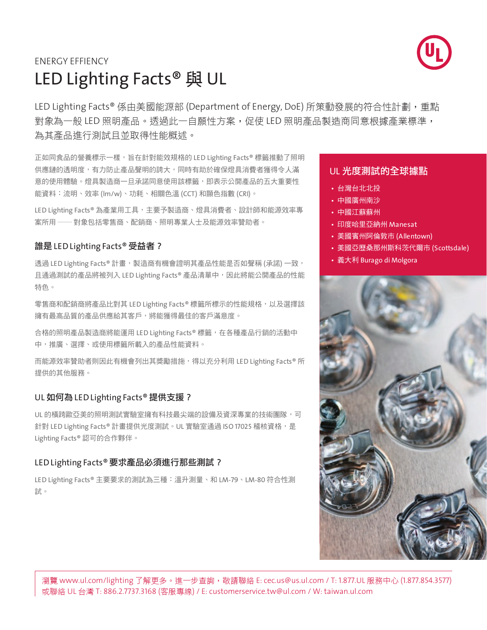

# LED Lighting Facts<sup>®</sup>與 UL ENERGY EFFIENCY

LED Lighting Facts® 係由美國能源部 (Department of Energy, DoE) 所策動發展的符合性計劃, 重點 對象為一般 LED 照明產品。透過此一自願性方案,促使 LED 照明產品製造商同意根據產業標準, 為其產品進行測試且並取得性能概述。

正如同食品的營養標示一樣,旨在針對能效規格的 LED Lighting Facts® 標籤推動了照明 供應鏈的透明度,有力防止產品聲明的誇大,同時有助於確保燈具消費者獲得令人滿 意的使用體驗。燈具製造商一旦承諾同意使用該標籤,即表示公開產品的五大重要性 能資料:流明、效率 (lm/w)、功耗、相關色溫 (CCT) 和顯色指數 (CRI)。

LED Lighting Facts® 為產業用工具,主要予製造商、燈具消費者、設計師和能源效率專 案所用 ── 對象包括零售商、配銷商、照明專業人士及能源效率贊助者。

#### 誰是 LED Lighting Facts® 受益者?

透過 LED Lighting Facts® 計畫,製造商有機會證明其產品性能是否如聲稱 (承諾) 一致, 且通過測試的產品將被列入 LED Lighting Facts® 產品清單中,因此將能公開產品的性能 特色。

零售商和配銷商將產品比對其 LED Lighting Facts® 標籤所標示的性能規格,以及選擇該 擁有最高品質的產品供應給其客戶,將能獲得最佳的客戶滿意度。

合格的照明產品製造商將能運用 LED Lighting Facts® 標籤,在各種產品行銷的活動中 中,推廣、選擇、或使用標籤所載入的產品性能資料。

而能源效率贊助者則因此有機會列出其獎勵措施,得以充分利用 LED Lighting Facts® 所 提供的其他服務。

## UL 如何為 LED Lighting Facts® 提供支援?

UL 的橫跨歐亞美的照明測試實驗室擁有科技最尖端的設備及資深專業的技術團隊,可 針對 LED Lighting Facts® 計畫提供光度測試。UL 實驗室通過 ISO 17025 稽核資格,是 Lighting Facts® 認可的合作夥伴。

## LED Lighting Facts® 要求產品必須進行那些測試?

LED Lighting Facts® 主要要求的測試為三種:溫升測量、和 LM-79、LM-80 符合性測 試。

#### UL 光度測試的全球據點

- 台灣台北北投
- 中國廣州南沙
- 中國江蘇蘇州
- 印度哈里亞納州 Manesat
- 美國賓州阿倫敦市 (Allentown)
- 美國亞歷桑那州斯科茨代爾市 (Scottsdale)
- 義大利 Burago di Molgora